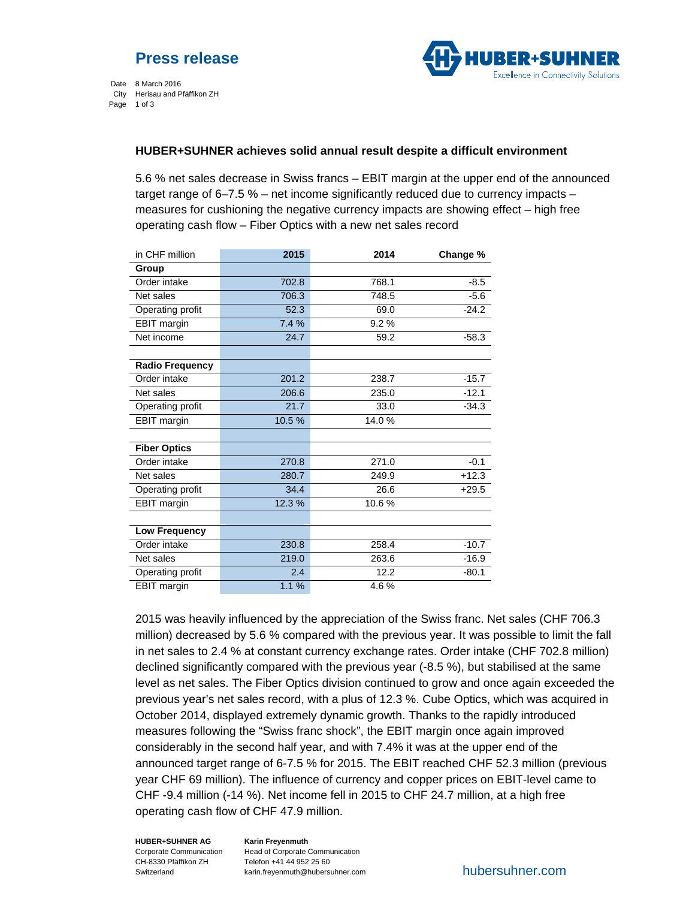

Date 8 March 2016 City Herisau and Pfäffikon ZH Page 1 of 3

# **HUBER+SUHNER achieves solid annual result despite a difficult environment**

5.6 % net sales decrease in Swiss francs – EBIT margin at the upper end of the announced target range of 6–7.5 % – net income significantly reduced due to currency impacts – measures for cushioning the negative currency impacts are showing effect – high free operating cash flow – Fiber Optics with a new net sales record

| in CHF million         | 2015  | 2014  | Change % |
|------------------------|-------|-------|----------|
| Group                  |       |       |          |
| Order intake           | 702.8 | 768.1 | $-8.5$   |
| Net sales              | 706.3 | 748.5 | $-5.6$   |
| Operating profit       | 52.3  | 69.0  | $-24.2$  |
| <b>EBIT</b> margin     | 7.4%  | 9.2%  |          |
| Net income             | 24.7  | 59.2  | $-58.3$  |
|                        |       |       |          |
| <b>Radio Frequency</b> |       |       |          |
| Order intake           | 201.2 | 238.7 | $-15.7$  |
| Net sales              | 206.6 | 235.0 | $-12.1$  |
| Operating profit       | 21.7  | 33.0  | $-34.3$  |
| <b>EBIT</b> margin     | 10.5% | 14.0% |          |
|                        |       |       |          |
| <b>Fiber Optics</b>    |       |       |          |
| Order intake           | 270.8 | 271.0 | $-0.1$   |
| Net sales              | 280.7 | 249.9 | $+12.3$  |
| Operating profit       | 34.4  | 26.6  | $+29.5$  |
| <b>EBIT</b> margin     | 12.3% | 10.6% |          |
|                        |       |       |          |
| Low Frequency          |       |       |          |
| Order intake           | 230.8 | 258.4 | $-10.7$  |
| Net sales              | 219.0 | 263.6 | $-16.9$  |
| Operating profit       | 2.4   | 12.2  | $-80.1$  |
| <b>EBIT</b> margin     | 1.1%  | 4.6%  |          |

2015 was heavily influenced by the appreciation of the Swiss franc. Net sales (CHF 706.3 million) decreased by 5.6 % compared with the previous year. It was possible to limit the fall in net sales to 2.4 % at constant currency exchange rates. Order intake (CHF 702.8 million) declined significantly compared with the previous year (-8.5 %), but stabilised at the same level as net sales. The Fiber Optics division continued to grow and once again exceeded the previous year's net sales record, with a plus of 12.3 %. Cube Optics, which was acquired in October 2014, displayed extremely dynamic growth. Thanks to the rapidly introduced measures following the "Swiss franc shock", the EBIT margin once again improved considerably in the second half year, and with 7.4% it was at the upper end of the announced target range of 6-7.5 % for 2015. The EBIT reached CHF 52.3 million (previous year CHF 69 million). The influence of currency and copper prices on EBIT-level came to CHF -9.4 million (-14 %). Net income fell in 2015 to CHF 24.7 million, at a high free operating cash flow of CHF 47.9 million.

**HUBER+SUHNER AG**  Corporate Communication CH-8330 Pfäffikon ZH Switzerland

**Karin Freyenmuth**  Head of Corporate Communication Telefon +41 44 952 25 60 karin.freyenmuth@hubersuhner.com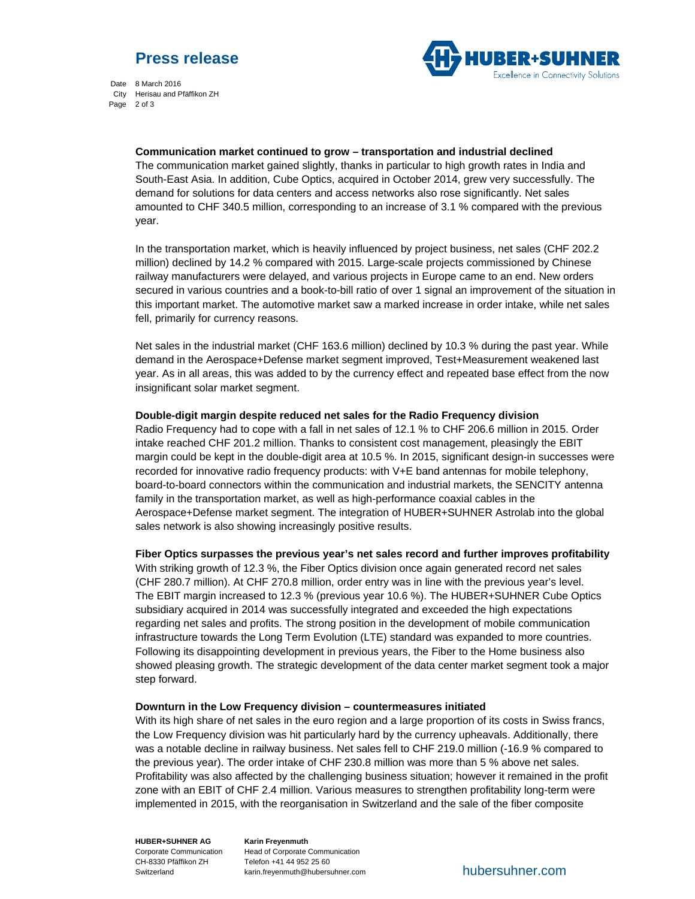



Date 8 March 2016 City Herisau and Pfäffikon ZH Page 2 of 3

**Communication market continued to grow – transportation and industrial declined** 

The communication market gained slightly, thanks in particular to high growth rates in India and South-East Asia. In addition, Cube Optics, acquired in October 2014, grew very successfully. The demand for solutions for data centers and access networks also rose significantly. Net sales amounted to CHF 340.5 million, corresponding to an increase of 3.1 % compared with the previous year.

In the transportation market, which is heavily influenced by project business, net sales (CHF 202.2 million) declined by 14.2 % compared with 2015. Large-scale projects commissioned by Chinese railway manufacturers were delayed, and various projects in Europe came to an end. New orders secured in various countries and a book-to-bill ratio of over 1 signal an improvement of the situation in this important market. The automotive market saw a marked increase in order intake, while net sales fell, primarily for currency reasons.

Net sales in the industrial market (CHF 163.6 million) declined by 10.3 % during the past year. While demand in the Aerospace+Defense market segment improved, Test+Measurement weakened last year. As in all areas, this was added to by the currency effect and repeated base effect from the now insignificant solar market segment.

# **Double-digit margin despite reduced net sales for the Radio Frequency division**

Radio Frequency had to cope with a fall in net sales of 12.1 % to CHF 206.6 million in 2015. Order intake reached CHF 201.2 million. Thanks to consistent cost management, pleasingly the EBIT margin could be kept in the double-digit area at 10.5 %. In 2015, significant design-in successes were recorded for innovative radio frequency products: with V+E band antennas for mobile telephony, board-to-board connectors within the communication and industrial markets, the SENCITY antenna family in the transportation market, as well as high-performance coaxial cables in the Aerospace+Defense market segment. The integration of HUBER+SUHNER Astrolab into the global sales network is also showing increasingly positive results.

**Fiber Optics surpasses the previous year's net sales record and further improves profitability**

With striking growth of 12.3 %, the Fiber Optics division once again generated record net sales (CHF 280.7 million). At CHF 270.8 million, order entry was in line with the previous year's level. The EBIT margin increased to 12.3 % (previous year 10.6 %). The HUBER+SUHNER Cube Optics subsidiary acquired in 2014 was successfully integrated and exceeded the high expectations regarding net sales and profits. The strong position in the development of mobile communication infrastructure towards the Long Term Evolution (LTE) standard was expanded to more countries. Following its disappointing development in previous years, the Fiber to the Home business also showed pleasing growth. The strategic development of the data center market segment took a major step forward.

# **Downturn in the Low Frequency division – countermeasures initiated**

With its high share of net sales in the euro region and a large proportion of its costs in Swiss francs, the Low Frequency division was hit particularly hard by the currency upheavals. Additionally, there was a notable decline in railway business. Net sales fell to CHF 219.0 million (-16.9 % compared to the previous year). The order intake of CHF 230.8 million was more than 5 % above net sales. Profitability was also affected by the challenging business situation; however it remained in the profit zone with an EBIT of CHF 2.4 million. Various measures to strengthen profitability long-term were implemented in 2015, with the reorganisation in Switzerland and the sale of the fiber composite

**HUBER+SUHNER AG**  Corporate Communication CH-8330 Pfäffikon ZH Switzerland

**Karin Freyenmuth**  Head of Corporate Communication Telefon +41 44 952 25 60 karin.freyenmuth@hubersuhner.com hubersuhner.com hubersuhner.com